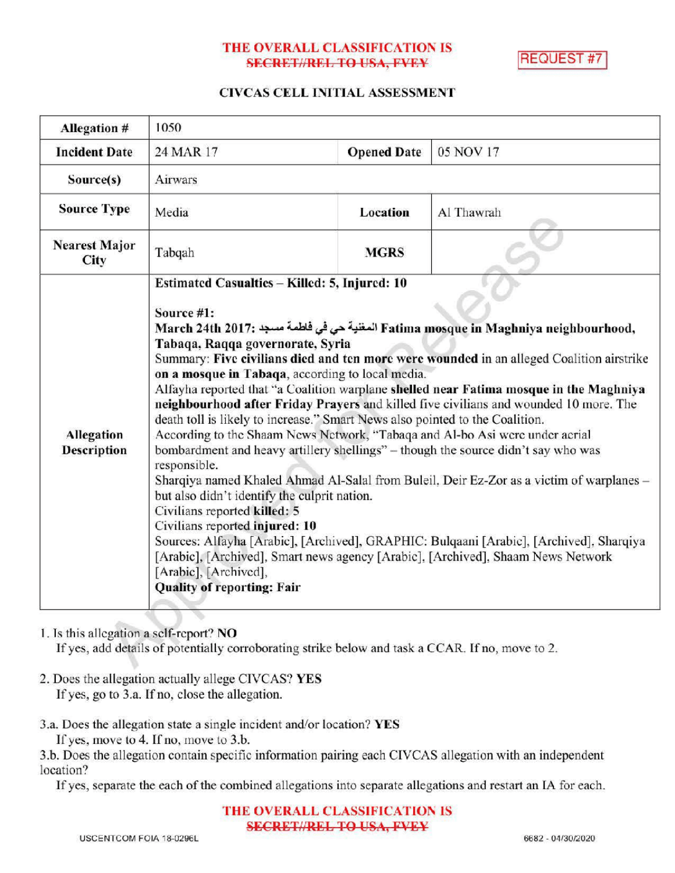## THE OVERALL CLASSIFICATION IS **SECRET//REL TO USA, FVEY**

**REQUEST #7** 

### CIVCAS CELL INITIAL ASSESSMENT

| <b>Allegation #</b>                     | 1050                                                                                                                                                                                                                                                                                                                                                                                                                                                                                                                                                                                                                                                                                                                                                                                                                                                                                                                                                                                                                                                                                                                                                                                                                             |                    |            |
|-----------------------------------------|----------------------------------------------------------------------------------------------------------------------------------------------------------------------------------------------------------------------------------------------------------------------------------------------------------------------------------------------------------------------------------------------------------------------------------------------------------------------------------------------------------------------------------------------------------------------------------------------------------------------------------------------------------------------------------------------------------------------------------------------------------------------------------------------------------------------------------------------------------------------------------------------------------------------------------------------------------------------------------------------------------------------------------------------------------------------------------------------------------------------------------------------------------------------------------------------------------------------------------|--------------------|------------|
| <b>Incident Date</b>                    | 24 MAR 17                                                                                                                                                                                                                                                                                                                                                                                                                                                                                                                                                                                                                                                                                                                                                                                                                                                                                                                                                                                                                                                                                                                                                                                                                        | <b>Opened Date</b> | 05 NOV 17  |
| Source(s)                               | Airwars                                                                                                                                                                                                                                                                                                                                                                                                                                                                                                                                                                                                                                                                                                                                                                                                                                                                                                                                                                                                                                                                                                                                                                                                                          |                    |            |
| <b>Source Type</b>                      | Media                                                                                                                                                                                                                                                                                                                                                                                                                                                                                                                                                                                                                                                                                                                                                                                                                                                                                                                                                                                                                                                                                                                                                                                                                            | Location           | Al Thawrah |
| <b>Nearest Major</b><br>City            | Tabqah                                                                                                                                                                                                                                                                                                                                                                                                                                                                                                                                                                                                                                                                                                                                                                                                                                                                                                                                                                                                                                                                                                                                                                                                                           | <b>MGRS</b>        |            |
| <b>Allegation</b><br><b>Description</b> | Estimated Casualties - Killed: 5, Injured: 10<br>Source #1:<br>March 24th 2017: المغنية حي في فلطمة مسجد :March 24th 2017<br>Tabaqa, Raqqa governorate, Syria<br>Summary: Five civilians died and ten more were wounded in an alleged Coalition airstrike<br>on a mosque in Tabaqa, according to local media.<br>Alfayha reported that "a Coalition warplane shelled near Fatima mosque in the Maghniya<br>neighbourhood after Friday Prayers and killed five civilians and wounded 10 more. The<br>death toll is likely to increase." Smart News also pointed to the Coalition.<br>According to the Shaam News Network, "Tabaqa and Al-bo Asi were under acrial<br>bombardment and heavy artillery shellings" – though the source didn't say who was<br>responsible.<br>Sharqiya named Khaled Ahmad Al-Salal from Buleil, Deir Ez-Zor as a victim of warplanes -<br>but also didn't identify the culprit nation.<br>Civilians reported killed: 5<br>Civilians reported injured: 10<br>Sources: Alfayha [Arabic], [Archived], GRAPHIC: Bulgaani [Arabic], [Archived], Sharqiya<br>[Arabic], [Archived], Smart news agency [Arabic], [Archived], Shaam News Network<br>[Arabic], [Archived],<br><b>Quality of reporting: Fair</b> |                    |            |

# 1. Is this allegation a self-report? NO

If yes, add details of potentially corroborating strike below and task a CCAR. If no, move to 2.

- 2. Does the allegation actually allege CIVCAS? YES If yes, go to 3.a. If no, close the allegation.
- 3.a. Does the allegation state a single incident and/or location? YES

If yes, move to 4. If no, move to  $3.b.$ 

3.b. Does the allegation contain specific information pairing each CIVCAS allegation with an independent location?

Ifyes, separate the each of the combined allegations into separate allegations and restart an IA for each.

THE OVERALL CLASSIFICATION IS **SECRET//REL TO USA, FVEY**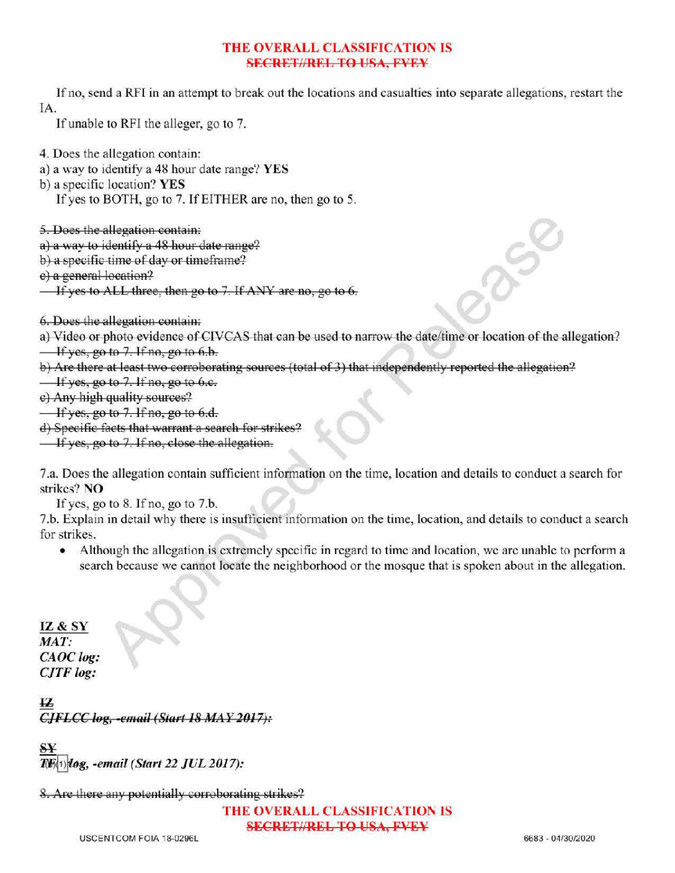# THE OVERALL CLASSIFICATION IS **SECRET//REL TO USA, PVEY**

Ifno, send <sup>a</sup> RFIin an attempt to break out the locations and casualties into separate allegations, restart the IA

If unable to RFI the alleger, go to 7.

4. Does the allegation contain:

- a) <sup>a</sup> way to identify <sup>a</sup> 48 hour date range? YES
- b) a specific location? YES

If yes to BOTH, go to 7. If EITHER are no, then go to 5.

5.Does the allegation contain:

a) a way to identify a 48 hour date range?

b) a specific time of day or timeframe?

e) a general location?

 $\frac{1}{2}$  If yes to ALL three, then go to 7. If ANY are no, go to 6.

6.Does the allegation contain :

a) Video or photo evidence of CIVCAS that can be used to narrow the date/time or location of the allegation?  $\frac{1}{1}$  If yes, go to 7. If no, go to 6.b.

b) Are there at least two corroborating sources (total of 3) that independently reported the allegation?

 $\frac{1}{x}$  if yes, go to 7. If no, go to 6.e.

e) Any high quality sources?

 $\overline{\text{If yes, go to 7. If no, go to 6.d.}}$ 

) Specific facts thatwarrant <sup>a</sup> search for strikes?

 $\overline{\phantom{a}}$  If yes, go to 7. If no, close the allegation.

7.a. Does the allegation contain sufficient information on the time, location and details to conduct a search for strikes? NO

If yes, go to  $8$ . If no, go to  $7.b$ .

7.b. Explain in detail why there is insufficient information on the time, location, and details to conduct a search for strikes.

• Although the allegation is extremely specific in regard to time and location, we are unable to perform a search because we cannot locate the neighborhood or the mosque that is spoken about in the allegation.

IZ& SY  $MAT:$ CAOC log: CJTF log:

ŦZ.  $CIFLCC log, -email (Start 18 MAX 2017):$ 

-email( Start 22 JUL 2017):

8. Are there any potentially corroborating strikes?

THE OVERALL CLASSIFICATION IS **SECRET//REL TO USA, FVEY**